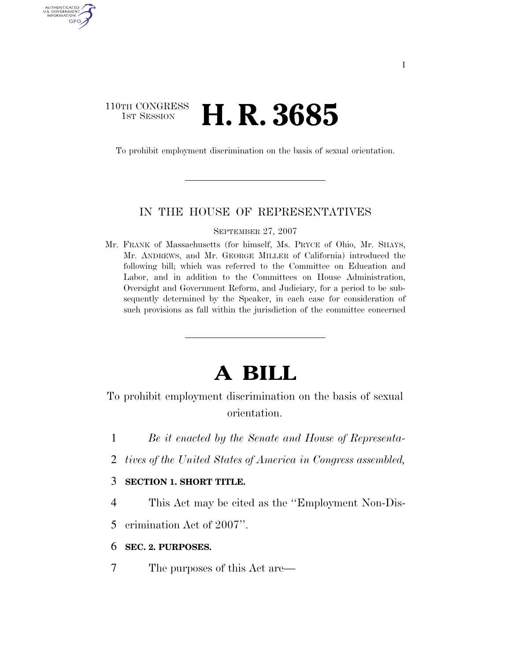# 110TH CONGRESS **1st Session H. R. 3685**

AUTHENTICATED U.S. GOVERNMENT GPO

To prohibit employment discrimination on the basis of sexual orientation.

#### IN THE HOUSE OF REPRESENTATIVES

SEPTEMBER 27, 2007

Mr. FRANK of Massachusetts (for himself, Ms. PRYCE of Ohio, Mr. SHAYS, Mr. ANDREWS, and Mr. GEORGE MILLER of California) introduced the following bill; which was referred to the Committee on Education and Labor, and in addition to the Committees on House Administration, Oversight and Government Reform, and Judiciary, for a period to be subsequently determined by the Speaker, in each case for consideration of such provisions as fall within the jurisdiction of the committee concerned

# **A BILL**

To prohibit employment discrimination on the basis of sexual orientation.

- 1 *Be it enacted by the Senate and House of Representa-*
- 2 *tives of the United States of America in Congress assembled,*

#### 3 **SECTION 1. SHORT TITLE.**

4 This Act may be cited as the ''Employment Non-Dis-

5 crimination Act of 2007''.

#### 6 **SEC. 2. PURPOSES.**

7 The purposes of this Act are—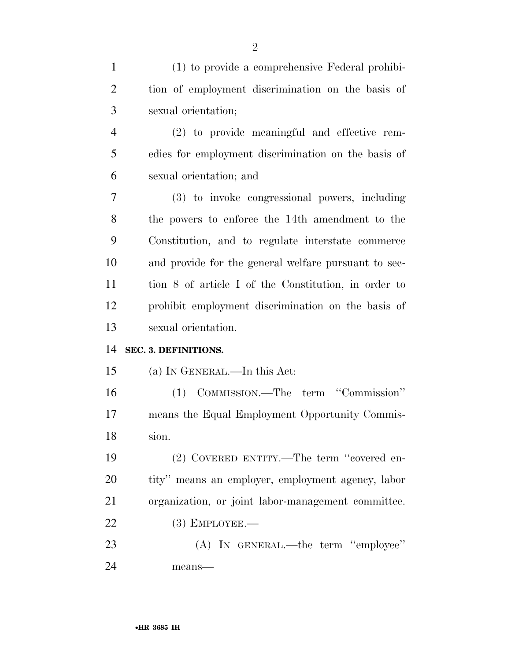| $\mathbf{1}$   | (1) to provide a comprehensive Federal prohibi-      |
|----------------|------------------------------------------------------|
| $\overline{2}$ | tion of employment discrimination on the basis of    |
| 3              | sexual orientation;                                  |
| $\overline{4}$ | (2) to provide meaningful and effective rem-         |
| 5              | edies for employment discrimination on the basis of  |
| 6              | sexual orientation; and                              |
| 7              | (3) to invoke congressional powers, including        |
| 8              | the powers to enforce the 14th amendment to the      |
| 9              | Constitution, and to regulate interstate commerce    |
| 10             | and provide for the general welfare pursuant to sec- |
| 11             | tion 8 of article I of the Constitution, in order to |
| 12             | prohibit employment discrimination on the basis of   |
| 13             | sexual orientation.                                  |
| 14             | SEC. 3. DEFINITIONS.                                 |
| 15             | (a) IN GENERAL.—In this Act:                         |
| 16             | (1) COMMISSION.—The term "Commission"                |
| 17             | means the Equal Employment Opportunity Commis-       |
| 18             | sion.                                                |
| 19             |                                                      |
|                | (2) COVERED ENTITY.—The term "covered en-            |
| 20             | tity" means an employer, employment agency, labor    |
| 21             | organization, or joint labor-management committee.   |
| 22             | $(3)$ EMPLOYEE.-                                     |
| 23             | (A) IN GENERAL.—the term "employee"                  |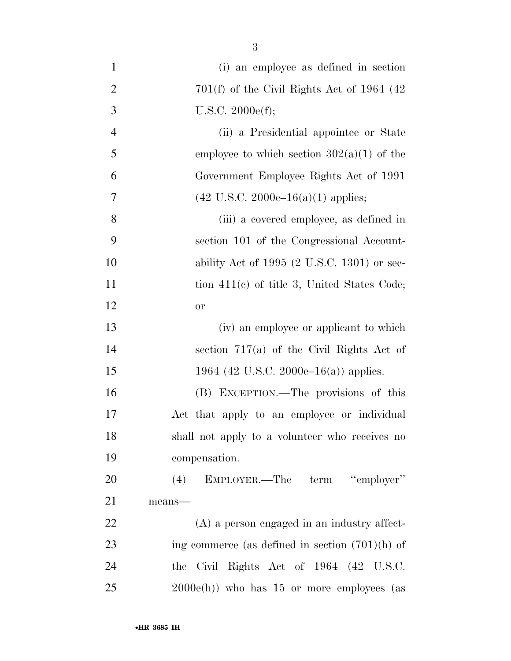| $\mathbf{1}$   | (i) an employee as defined in section                  |
|----------------|--------------------------------------------------------|
| $\overline{2}$ | $701(f)$ of the Civil Rights Act of 1964 (42)          |
| 3              | U.S.C. $2000e(f);$                                     |
| $\overline{4}$ | (ii) a Presidential appointee or State                 |
| 5              | employee to which section $302(a)(1)$ of the           |
| 6              | Government Employee Rights Act of 1991                 |
| 7              | $(42 \text{ U.S.C. } 2000e-16(a)(1) \text{ applies};$  |
| 8              | (iii) a covered employee, as defined in                |
| 9              | section 101 of the Congressional Account-              |
| 10             | ability Act of 1995 $(2 \text{ U.S.C. } 1301)$ or sec- |
| 11             | tion $411(e)$ of title 3, United States Code;          |
| 12             | or                                                     |
| 13             | (iv) an employee or applicant to which                 |
| 14             | section $717(a)$ of the Civil Rights Act of            |
| 15             | 1964 (42 U.S.C. 2000e–16(a)) applies.                  |
| 16             | (B) EXCEPTION.—The provisions of this                  |
| 17             | Act that apply to an employee or individual            |
| 18             | shall not apply to a volunteer who receives no         |
| 19             | compensation.                                          |
| 20             | (4) EMPLOYER.—The term "employer"                      |
| 21             | means-                                                 |
| 22             | $(A)$ a person engaged in an industry affect-          |
| 23             | ing commerce (as defined in section $(701)(h)$ of      |
| 24             | the Civil Rights Act of 1964 (42 U.S.C.                |
| 25             | $2000e(h)$ who has 15 or more employees (as            |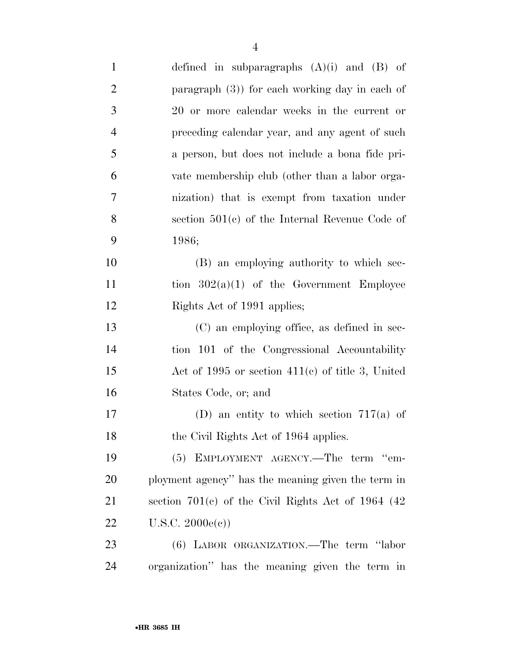| $\mathbf{1}$   | defined in subparagraphs $(A)(i)$ and $(B)$ of        |
|----------------|-------------------------------------------------------|
| $\overline{2}$ | paragraph $(3)$ ) for each working day in each of     |
| 3              | 20 or more calendar weeks in the current or           |
| $\overline{4}$ | preceding calendar year, and any agent of such        |
| 5              | a person, but does not include a bona fide pri-       |
| 6              | vate membership club (other than a labor orga-        |
| $\overline{7}$ | nization) that is exempt from taxation under          |
| 8              | section $501(c)$ of the Internal Revenue Code of      |
| 9              | 1986;                                                 |
| 10             | (B) an employing authority to which sec-              |
| 11             | tion $302(a)(1)$ of the Government Employee           |
| 12             | Rights Act of 1991 applies;                           |
| 13             | (C) an employing office, as defined in sec-           |
| 14             | tion 101 of the Congressional Accountability          |
| 15             | Act of 1995 or section $411(c)$ of title 3, United    |
| 16             | States Code, or, and                                  |
| 17             | (D) an entity to which section $717(a)$ of            |
| 18             | the Civil Rights Act of 1964 applies.                 |
| 19             | (5) EMPLOYMENT AGENCY.—The term "em-                  |
| 20             | ployment agency" has the meaning given the term in    |
| 21             | section $701(c)$ of the Civil Rights Act of 1964 (42) |
| 22             | U.S.C. 2000e(c))                                      |
| 23             | (6) LABOR ORGANIZATION.—The term "labor               |
| 24             | organization" has the meaning given the term in       |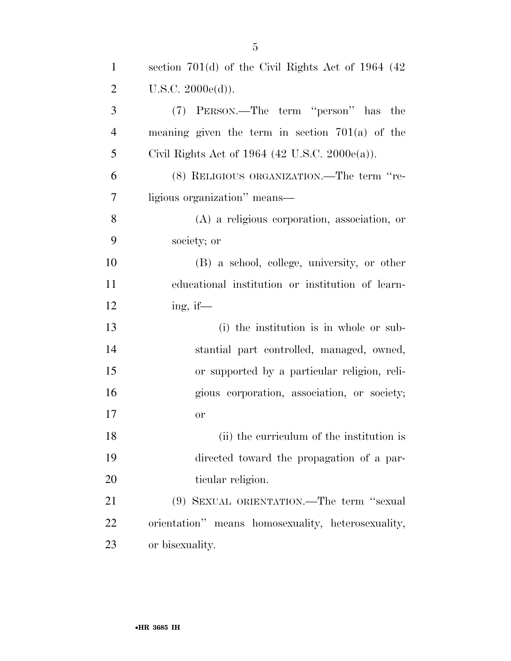| $\mathbf{1}$   | section $701(d)$ of the Civil Rights Act of 1964 (42) |
|----------------|-------------------------------------------------------|
| $\overline{2}$ | U.S.C. 2000e(d)).                                     |
| 3              | (7) PERSON.—The term "person" has the                 |
| $\overline{4}$ | meaning given the term in section $701(a)$ of the     |
| 5              | Civil Rights Act of 1964 (42 U.S.C. 2000 $e(a)$ ).    |
| 6              | (8) RELIGIOUS ORGANIZATION.—The term "re-             |
| 7              | ligious organization" means—                          |
| 8              | $(A)$ a religious corporation, association, or        |
| 9              | society; or                                           |
| 10             | (B) a school, college, university, or other           |
| 11             | educational institution or institution of learn-      |
| 12             | ing, if—                                              |
| 13             | (i) the institution is in whole or sub-               |
| 14             | stantial part controlled, managed, owned,             |
| 15             | or supported by a particular religion, reli-          |
| 16             | gious corporation, association, or society;           |
| 17             | <b>or</b>                                             |
| 18             | (ii) the curriculum of the institution is             |
| 19             | directed toward the propagation of a par-             |
| 20             | ticular religion.                                     |
| 21             | (9) SEXUAL ORIENTATION.—The term "sexual              |
| 22             | orientation" means homosexuality, heterosexuality,    |
| 23             | or bisexuality.                                       |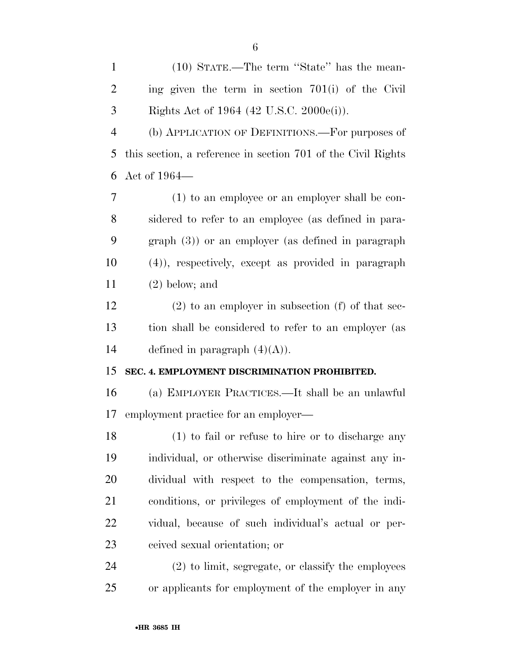| $\mathbf{1}$   | (10) STATE.—The term "State" has the mean-                   |
|----------------|--------------------------------------------------------------|
| $\overline{2}$ | ing given the term in section $701(i)$ of the Civil          |
| 3              | Rights Act of 1964 (42 U.S.C. 2000e(i)).                     |
| $\overline{4}$ | (b) APPLICATION OF DEFINITIONS.—For purposes of              |
| 5              | this section, a reference in section 701 of the Civil Rights |
| 6              | Act of 1964—                                                 |
| $\overline{7}$ | (1) to an employee or an employer shall be con-              |
| 8              | sidered to refer to an employee (as defined in para-         |
| 9              | $graph(3)$ or an employer (as defined in paragraph           |
| 10             | (4), respectively, except as provided in paragraph           |
| 11             | $(2)$ below; and                                             |
| 12             | $(2)$ to an employer in subsection (f) of that sec-          |
| 13             | tion shall be considered to refer to an employer (as         |
| 14             | defined in paragraph $(4)(A)$ ).                             |
| 15             | SEC. 4. EMPLOYMENT DISCRIMINATION PROHIBITED.                |
| 16             | (a) EMPLOYER PRACTICES.—It shall be an unlawful              |
| 17             | employment practice for an employer—                         |
| 18             | (1) to fail or refuse to hire or to discharge any            |
| 19             | individual, or otherwise discriminate against any in-        |
| 20             | dividual with respect to the compensation, terms,            |
| 21             | conditions, or privileges of employment of the indi-         |
| 22             | vidual, because of such individual's actual or per-          |
| 23             | ceived sexual orientation; or                                |
| 24             | $(2)$ to limit, segregate, or classify the employees         |
| 25             | or applicants for employment of the employer in any          |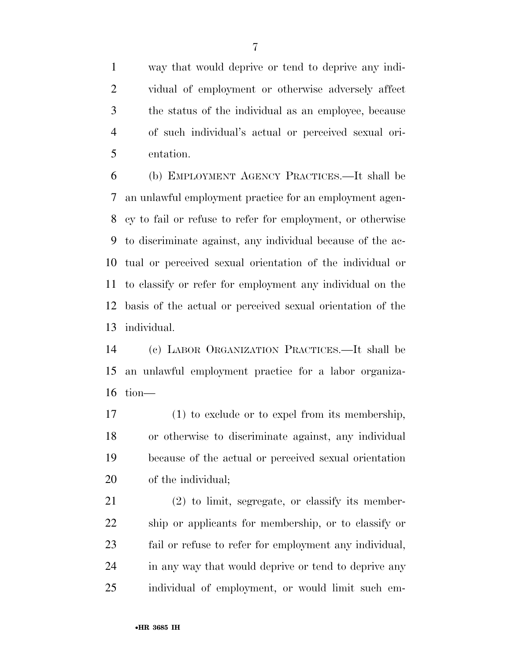way that would deprive or tend to deprive any indi- vidual of employment or otherwise adversely affect the status of the individual as an employee, because of such individual's actual or perceived sexual ori-entation.

 (b) EMPLOYMENT AGENCY PRACTICES.—It shall be an unlawful employment practice for an employment agen- cy to fail or refuse to refer for employment, or otherwise to discriminate against, any individual because of the ac- tual or perceived sexual orientation of the individual or to classify or refer for employment any individual on the basis of the actual or perceived sexual orientation of the individual.

 (c) LABOR ORGANIZATION PRACTICES.—It shall be an unlawful employment practice for a labor organiza-tion—

 (1) to exclude or to expel from its membership, or otherwise to discriminate against, any individual because of the actual or perceived sexual orientation of the individual;

 (2) to limit, segregate, or classify its member- ship or applicants for membership, or to classify or fail or refuse to refer for employment any individual, in any way that would deprive or tend to deprive any individual of employment, or would limit such em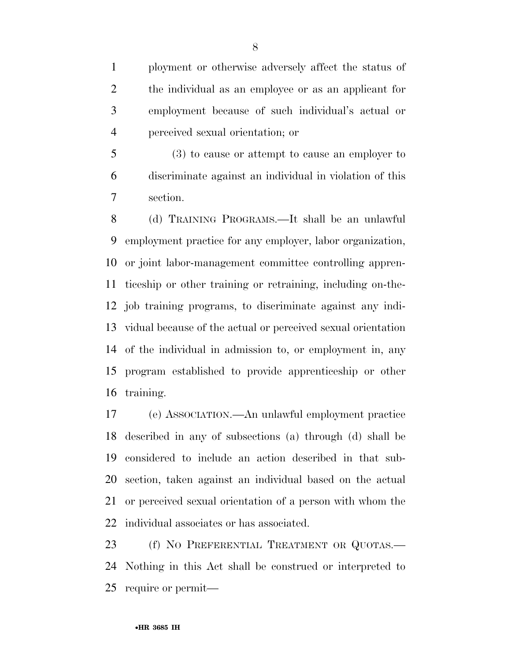ployment or otherwise adversely affect the status of the individual as an employee or as an applicant for employment because of such individual's actual or perceived sexual orientation; or

 (3) to cause or attempt to cause an employer to discriminate against an individual in violation of this section.

 (d) TRAINING PROGRAMS.—It shall be an unlawful employment practice for any employer, labor organization, or joint labor-management committee controlling appren- ticeship or other training or retraining, including on-the- job training programs, to discriminate against any indi- vidual because of the actual or perceived sexual orientation of the individual in admission to, or employment in, any program established to provide apprenticeship or other training.

 (e) ASSOCIATION.—An unlawful employment practice described in any of subsections (a) through (d) shall be considered to include an action described in that sub- section, taken against an individual based on the actual or perceived sexual orientation of a person with whom the individual associates or has associated.

23 (f) NO PREFERENTIAL TREATMENT OR QUOTAS.— Nothing in this Act shall be construed or interpreted to require or permit—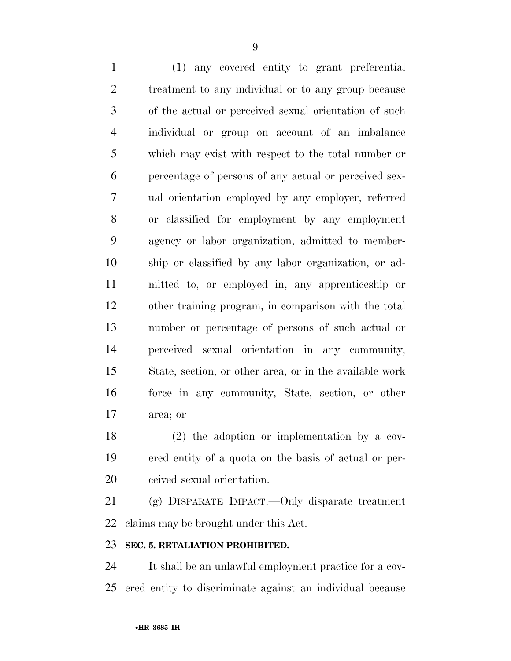(1) any covered entity to grant preferential treatment to any individual or to any group because of the actual or perceived sexual orientation of such individual or group on account of an imbalance which may exist with respect to the total number or percentage of persons of any actual or perceived sex- ual orientation employed by any employer, referred or classified for employment by any employment agency or labor organization, admitted to member- ship or classified by any labor organization, or ad- mitted to, or employed in, any apprenticeship or other training program, in comparison with the total number or percentage of persons of such actual or perceived sexual orientation in any community, State, section, or other area, or in the available work force in any community, State, section, or other area; or

 (2) the adoption or implementation by a cov- ered entity of a quota on the basis of actual or per-ceived sexual orientation.

 (g) DISPARATE IMPACT.—Only disparate treatment claims may be brought under this Act.

#### **SEC. 5. RETALIATION PROHIBITED.**

 It shall be an unlawful employment practice for a cov-ered entity to discriminate against an individual because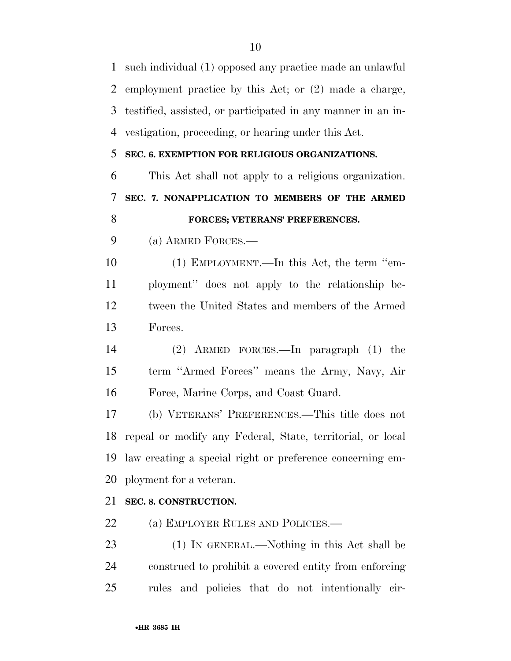such individual (1) opposed any practice made an unlawful employment practice by this Act; or (2) made a charge, testified, assisted, or participated in any manner in an in- vestigation, proceeding, or hearing under this Act. **SEC. 6. EXEMPTION FOR RELIGIOUS ORGANIZATIONS.**  This Act shall not apply to a religious organization. **SEC. 7. NONAPPLICATION TO MEMBERS OF THE ARMED FORCES; VETERANS' PREFERENCES.**  (a) ARMED FORCES.— (1) EMPLOYMENT.—In this Act, the term ''em- ployment'' does not apply to the relationship be- tween the United States and members of the Armed Forces. (2) ARMED FORCES.—In paragraph (1) the term ''Armed Forces'' means the Army, Navy, Air Force, Marine Corps, and Coast Guard. (b) VETERANS' PREFERENCES.—This title does not repeal or modify any Federal, State, territorial, or local law creating a special right or preference concerning em- ployment for a veteran. **SEC. 8. CONSTRUCTION.**  22 (a) EMPLOYER RULES AND POLICIES.— (1) IN GENERAL.—Nothing in this Act shall be construed to prohibit a covered entity from enforcing rules and policies that do not intentionally cir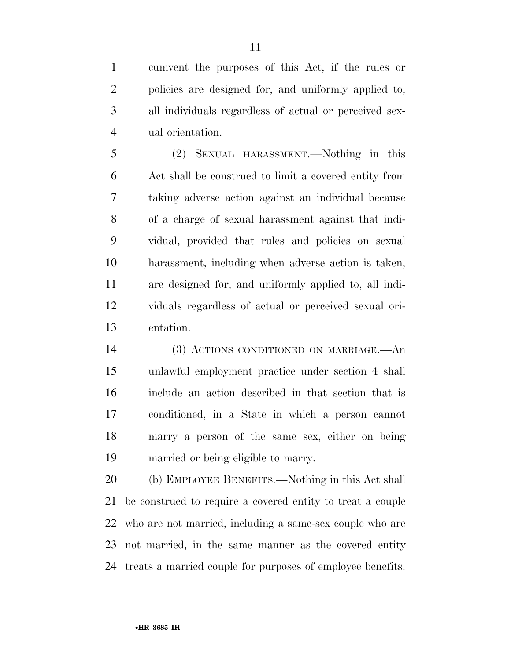cumvent the purposes of this Act, if the rules or policies are designed for, and uniformly applied to, all individuals regardless of actual or perceived sex-ual orientation.

 (2) SEXUAL HARASSMENT.—Nothing in this Act shall be construed to limit a covered entity from taking adverse action against an individual because of a charge of sexual harassment against that indi- vidual, provided that rules and policies on sexual harassment, including when adverse action is taken, are designed for, and uniformly applied to, all indi- viduals regardless of actual or perceived sexual ori-entation.

 (3) ACTIONS CONDITIONED ON MARRIAGE.—An unlawful employment practice under section 4 shall include an action described in that section that is conditioned, in a State in which a person cannot marry a person of the same sex, either on being married or being eligible to marry.

 (b) EMPLOYEE BENEFITS.—Nothing in this Act shall be construed to require a covered entity to treat a couple who are not married, including a same-sex couple who are not married, in the same manner as the covered entity treats a married couple for purposes of employee benefits.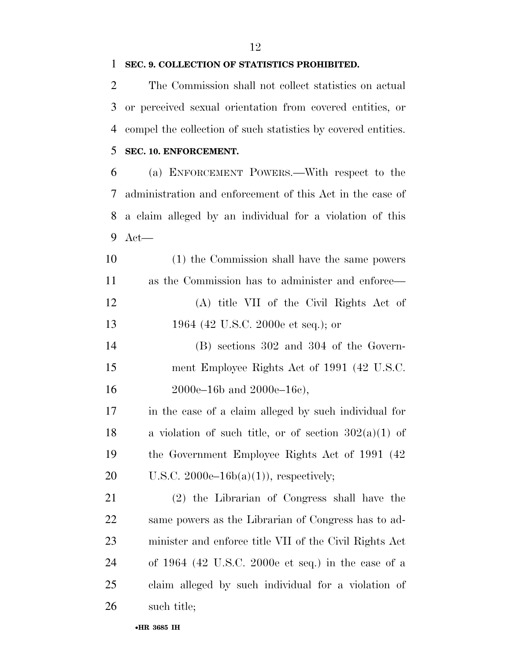#### **SEC. 9. COLLECTION OF STATISTICS PROHIBITED.**

 The Commission shall not collect statistics on actual or perceived sexual orientation from covered entities, or compel the collection of such statistics by covered entities.

## **SEC. 10. ENFORCEMENT.**

 (a) ENFORCEMENT POWERS.—With respect to the administration and enforcement of this Act in the case of a claim alleged by an individual for a violation of this Act—

 (1) the Commission shall have the same powers as the Commission has to administer and enforce— (A) title VII of the Civil Rights Act of 13 1964 (42 U.S.C. 2000e et seq.); or

 (B) sections 302 and 304 of the Govern- ment Employee Rights Act of 1991 (42 U.S.C. 2000e–16b and 2000e–16c),

 in the case of a claim alleged by such individual for 18 a violation of such title, or of section  $302(a)(1)$  of the Government Employee Rights Act of 1991 (42 20 U.S.C.  $2000e-16b(a)(1)$ , respectively;

 (2) the Librarian of Congress shall have the same powers as the Librarian of Congress has to ad- minister and enforce title VII of the Civil Rights Act of 1964 (42 U.S.C. 2000e et seq.) in the case of a claim alleged by such individual for a violation of such title;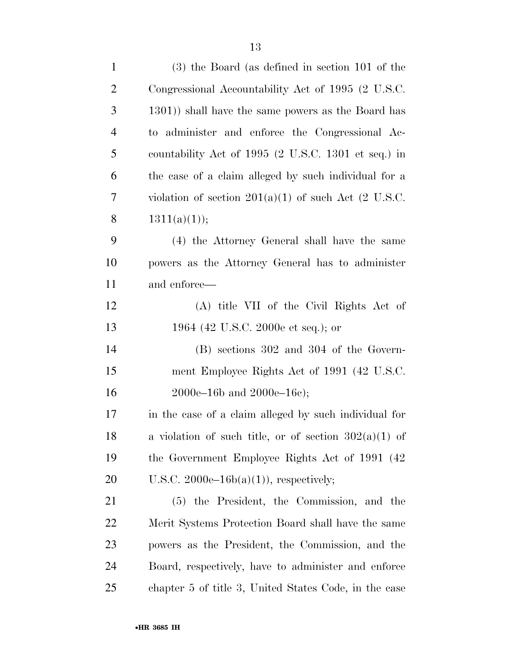| $\mathbf{1}$   | $(3)$ the Board (as defined in section 101 of the             |
|----------------|---------------------------------------------------------------|
| $\overline{2}$ | Congressional Accountability Act of 1995 (2 U.S.C.            |
| 3              | 1301) shall have the same powers as the Board has             |
| $\overline{4}$ | administer and enforce the Congressional Ac-<br>$\mathrm{to}$ |
| 5              | countability Act of 1995 (2 U.S.C. 1301 et seq.) in           |
| 6              | the case of a claim alleged by such individual for a          |
| 7              | violation of section $201(a)(1)$ of such Act (2 U.S.C.        |
| 8              | 1311(a)(1));                                                  |
| 9              | (4) the Attorney General shall have the same                  |
| 10             | powers as the Attorney General has to administer              |
| 11             | and enforce—                                                  |
| 12             | (A) title VII of the Civil Rights Act of                      |
| 13             | 1964 (42 U.S.C. 2000e et seq.); or                            |
| 14             | $(B)$ sections 302 and 304 of the Govern-                     |
| 15             | ment Employee Rights Act of 1991 (42 U.S.C.                   |
| 16             | $2000e-16b$ and $2000e-16c$ ;                                 |
| 17             | in the case of a claim alleged by such individual for         |
| 18             | a violation of such title, or of section $302(a)(1)$ of       |
| 19             | the Government Employee Rights Act of 1991 (42)               |
| 20             | U.S.C. $2000e-16b(a)(1)$ , respectively;                      |
| 21             | (5) the President, the Commission, and the                    |
| 22             | Merit Systems Protection Board shall have the same            |
| 23             | powers as the President, the Commission, and the              |
| 24             | Board, respectively, have to administer and enforce           |
| 25             | chapter 5 of title 3, United States Code, in the case         |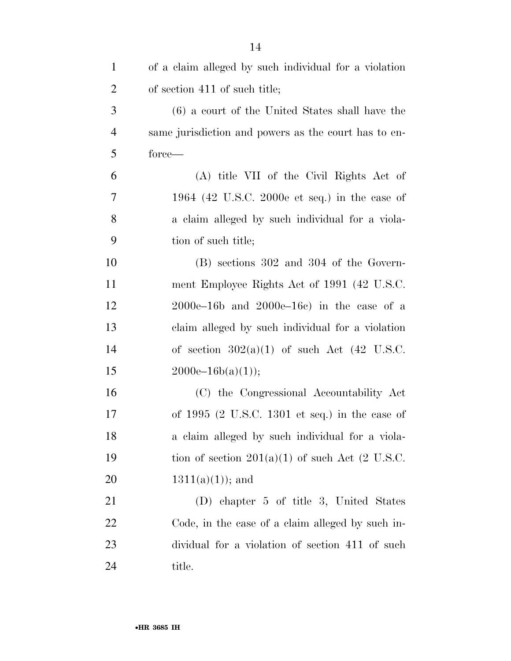| $\mathbf{1}$   | of a claim alleged by such individual for a violation    |
|----------------|----------------------------------------------------------|
| $\overline{2}$ | of section 411 of such title;                            |
| 3              | (6) a court of the United States shall have the          |
| $\overline{4}$ | same jurisdiction and powers as the court has to en-     |
| 5              | force—                                                   |
| 6              | (A) title VII of the Civil Rights Act of                 |
| 7              | 1964 (42 U.S.C. 2000e et seq.) in the case of            |
| 8              | a claim alleged by such individual for a viola-          |
| 9              | tion of such title;                                      |
| 10             | (B) sections 302 and 304 of the Govern-                  |
| 11             | ment Employee Rights Act of 1991 (42 U.S.C.              |
| 12             | $2000e-16b$ and $2000e-16c$ in the case of a             |
| 13             | claim alleged by such individual for a violation         |
| 14             | of section $302(a)(1)$ of such Act $(42 \text{ U.S.C.})$ |
| 15             | $2000e-16b(a)(1));$                                      |
| 16             | (C) the Congressional Accountability Act                 |
| 17             | of $1995$ (2 U.S.C. 1301 et seq.) in the case of         |
| 18             | a claim alleged by such individual for a viola-          |
| 19             | tion of section $201(a)(1)$ of such Act (2 U.S.C.        |
| 20             | $1311(a)(1)$ ; and                                       |
| 21             | (D) chapter 5 of title 3, United States                  |
| 22             | Code, in the case of a claim alleged by such in-         |
| 23             | dividual for a violation of section 411 of such          |
| 24             | title.                                                   |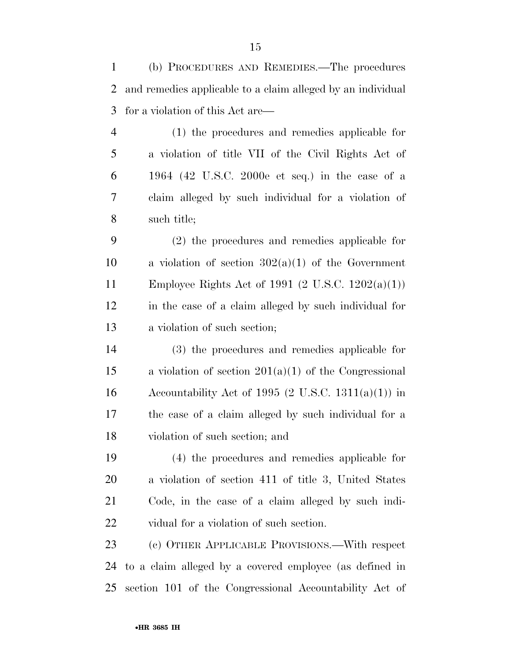(b) PROCEDURES AND REMEDIES.—The procedures and remedies applicable to a claim alleged by an individual for a violation of this Act are—

 (1) the procedures and remedies applicable for a violation of title VII of the Civil Rights Act of 1964 (42 U.S.C. 2000e et seq.) in the case of a claim alleged by such individual for a violation of such title;

 (2) the procedures and remedies applicable for 10 a violation of section  $302(a)(1)$  of the Government Employee Rights Act of 1991 (2 U.S.C. 1202(a)(1)) in the case of a claim alleged by such individual for a violation of such section;

 (3) the procedures and remedies applicable for a violation of section 201(a)(1) of the Congressional 16 Accountability Act of 1995 (2 U.S.C. 1311(a)(1)) in the case of a claim alleged by such individual for a violation of such section; and

 (4) the procedures and remedies applicable for a violation of section 411 of title 3, United States Code, in the case of a claim alleged by such indi-vidual for a violation of such section.

 (c) OTHER APPLICABLE PROVISIONS.—With respect to a claim alleged by a covered employee (as defined in section 101 of the Congressional Accountability Act of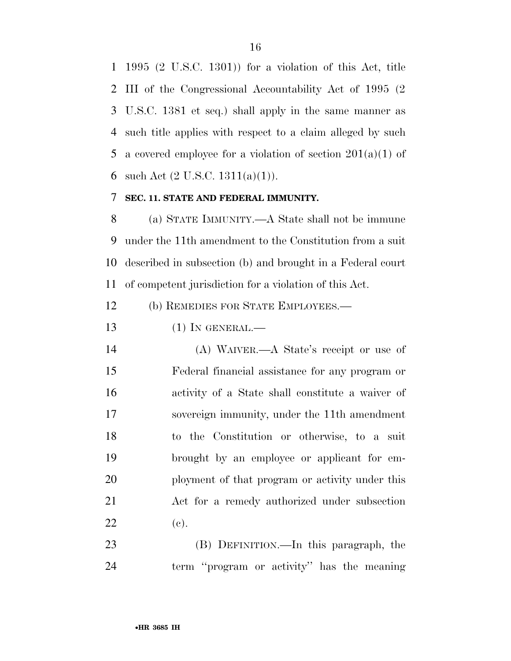1995 (2 U.S.C. 1301)) for a violation of this Act, title III of the Congressional Accountability Act of 1995 (2 U.S.C. 1381 et seq.) shall apply in the same manner as such title applies with respect to a claim alleged by such 5 a covered employee for a violation of section  $201(a)(1)$  of 6 such Act  $(2 \text{ U.S.C. } 1311(a)(1))$ .

#### **SEC. 11. STATE AND FEDERAL IMMUNITY.**

 (a) STATE IMMUNITY.—A State shall not be immune under the 11th amendment to the Constitution from a suit described in subsection (b) and brought in a Federal court of competent jurisdiction for a violation of this Act.

(b) REMEDIES FOR STATE EMPLOYEES.—

(1) IN GENERAL.—

 (A) WAIVER.—A State's receipt or use of Federal financial assistance for any program or activity of a State shall constitute a waiver of sovereign immunity, under the 11th amendment to the Constitution or otherwise, to a suit brought by an employee or applicant for em- ployment of that program or activity under this Act for a remedy authorized under subsection 22 (c).

 (B) DEFINITION.—In this paragraph, the term ''program or activity'' has the meaning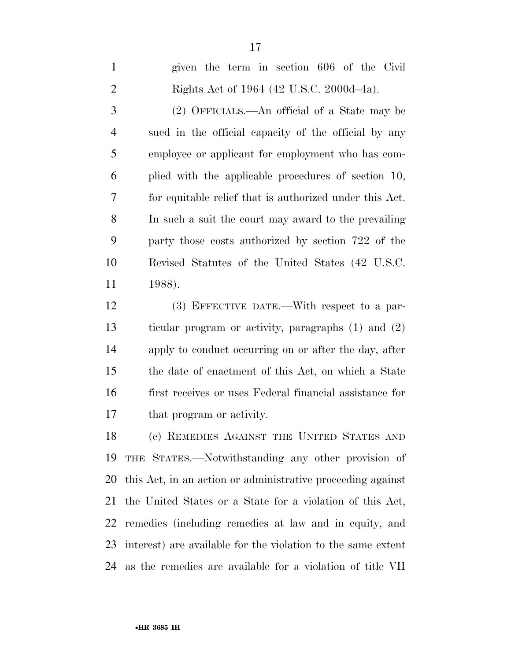given the term in section 606 of the Civil Rights Act of 1964 (42 U.S.C. 2000d–4a). (2) OFFICIALS.—An official of a State may be sued in the official capacity of the official by any employee or applicant for employment who has com- plied with the applicable procedures of section 10, for equitable relief that is authorized under this Act. In such a suit the court may award to the prevailing party those costs authorized by section 722 of the Revised Statutes of the United States (42 U.S.C. 1988).

 (3) EFFECTIVE DATE.—With respect to a par- ticular program or activity, paragraphs (1) and (2) apply to conduct occurring on or after the day, after the date of enactment of this Act, on which a State first receives or uses Federal financial assistance for that program or activity.

 (c) REMEDIES AGAINST THE UNITED STATES AND THE STATES.—Notwithstanding any other provision of this Act, in an action or administrative proceeding against the United States or a State for a violation of this Act, remedies (including remedies at law and in equity, and interest) are available for the violation to the same extent as the remedies are available for a violation of title VII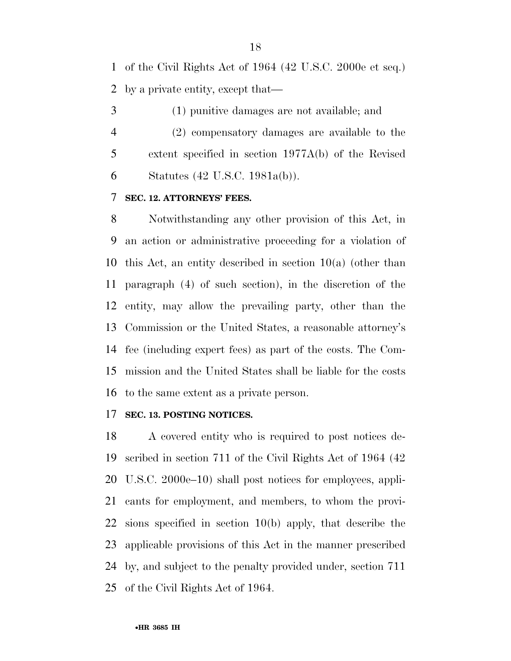of the Civil Rights Act of 1964 (42 U.S.C. 2000e et seq.) by a private entity, except that—

(1) punitive damages are not available; and

 (2) compensatory damages are available to the extent specified in section 1977A(b) of the Revised Statutes (42 U.S.C. 1981a(b)).

### **SEC. 12. ATTORNEYS' FEES.**

 Notwithstanding any other provision of this Act, in an action or administrative proceeding for a violation of this Act, an entity described in section 10(a) (other than paragraph (4) of such section), in the discretion of the entity, may allow the prevailing party, other than the Commission or the United States, a reasonable attorney's fee (including expert fees) as part of the costs. The Com- mission and the United States shall be liable for the costs to the same extent as a private person.

#### **SEC. 13. POSTING NOTICES.**

 A covered entity who is required to post notices de- scribed in section 711 of the Civil Rights Act of 1964 (42 U.S.C. 2000e–10) shall post notices for employees, appli- cants for employment, and members, to whom the provi- sions specified in section 10(b) apply, that describe the applicable provisions of this Act in the manner prescribed by, and subject to the penalty provided under, section 711 of the Civil Rights Act of 1964.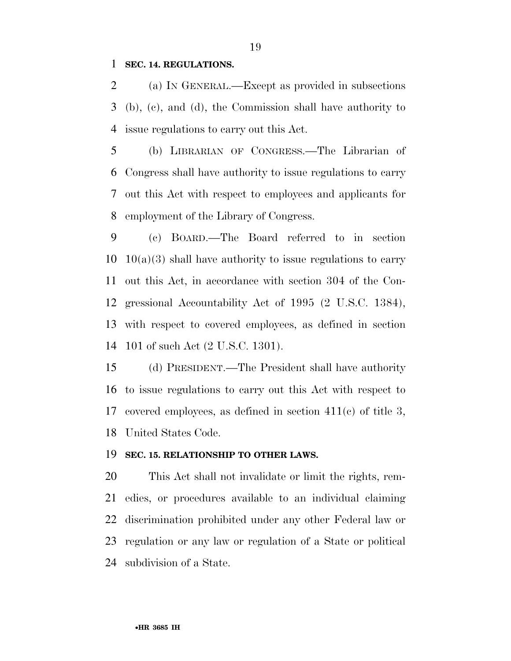#### **SEC. 14. REGULATIONS.**

 (a) IN GENERAL.—Except as provided in subsections (b), (c), and (d), the Commission shall have authority to issue regulations to carry out this Act.

 (b) LIBRARIAN OF CONGRESS.—The Librarian of Congress shall have authority to issue regulations to carry out this Act with respect to employees and applicants for employment of the Library of Congress.

 (c) BOARD.—The Board referred to in section  $10 \quad 10(a)(3)$  shall have authority to issue regulations to carry out this Act, in accordance with section 304 of the Con- gressional Accountability Act of 1995 (2 U.S.C. 1384), with respect to covered employees, as defined in section 101 of such Act (2 U.S.C. 1301).

 (d) PRESIDENT.—The President shall have authority to issue regulations to carry out this Act with respect to covered employees, as defined in section 411(c) of title 3, United States Code.

#### **SEC. 15. RELATIONSHIP TO OTHER LAWS.**

 This Act shall not invalidate or limit the rights, rem- edies, or procedures available to an individual claiming discrimination prohibited under any other Federal law or regulation or any law or regulation of a State or political subdivision of a State.